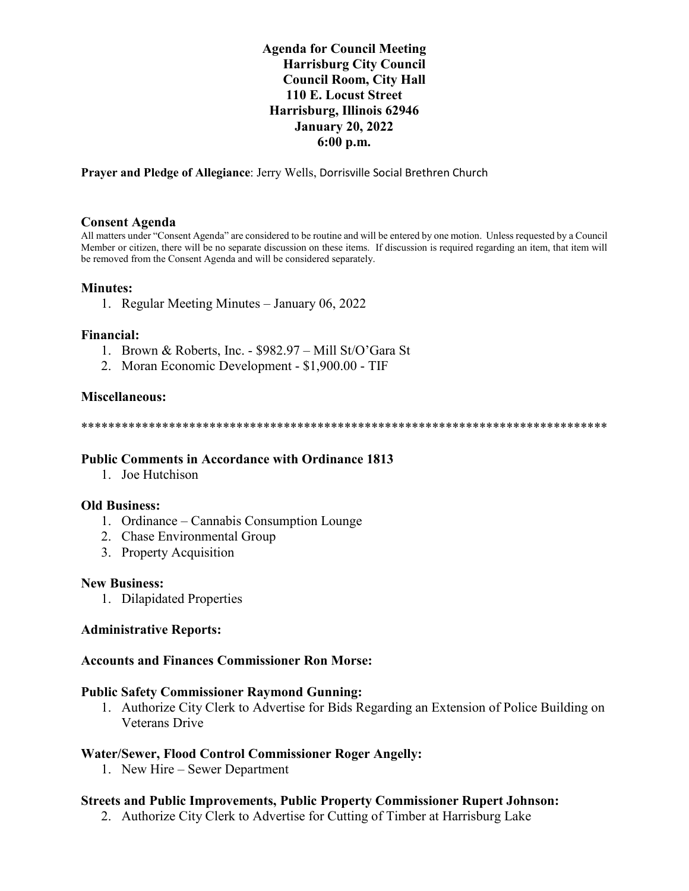# **Agenda for Council Meeting Harrisburg City Council Council Room, City Hall 110 E. Locust Street Harrisburg, Illinois 62946 January 20, 2022 6:00 p.m.**

**Prayer and Pledge of Allegiance**: Jerry Wells, Dorrisville Social Brethren Church

............................... ....................

#### **Consent Agenda**

All matters under "Consent Agenda" are considered to be routine and will be entered by one motion. Unless requested by a Council Member or citizen, there will be no separate discussion on these items. If discussion is required regarding an item, that item will be removed from the Consent Agenda and will be considered separately.

### **Minutes:**

1. Regular Meeting Minutes – January 06, 2022

#### **Financial:**

- 1. Brown & Roberts, Inc. \$982.97 Mill St/O'Gara St
- 2. Moran Economic Development \$1,900.00 TIF

#### **Miscellaneous:**

\*\*\*\*\*\*\*\*\*\*\*\*\*\*\*\*\*\*\*\*\*\*\*\*\*\*\*\*\*\*\*\*\*\*\*\*\*\*\*\*\*\*\*\*\*\*\*\*\*\*\*\*\*\*\*\*\*\*\*\*\*\*\*\*\*\*\*\*\*\*\*\*\*\*\*\*\*\*

## **Public Comments in Accordance with Ordinance 1813**

1. Joe Hutchison

#### **Old Business:**

- 1. Ordinance Cannabis Consumption Lounge
- 2. Chase Environmental Group
- 3. Property Acquisition

#### **New Business:**

1. Dilapidated Properties

#### **Administrative Reports:**

#### **Accounts and Finances Commissioner Ron Morse:**

#### **Public Safety Commissioner Raymond Gunning:**

1. Authorize City Clerk to Advertise for Bids Regarding an Extension of Police Building on Veterans Drive

## **Water/Sewer, Flood Control Commissioner Roger Angelly:**

1. New Hire – Sewer Department

## **Streets and Public Improvements, Public Property Commissioner Rupert Johnson:**

2. Authorize City Clerk to Advertise for Cutting of Timber at Harrisburg Lake